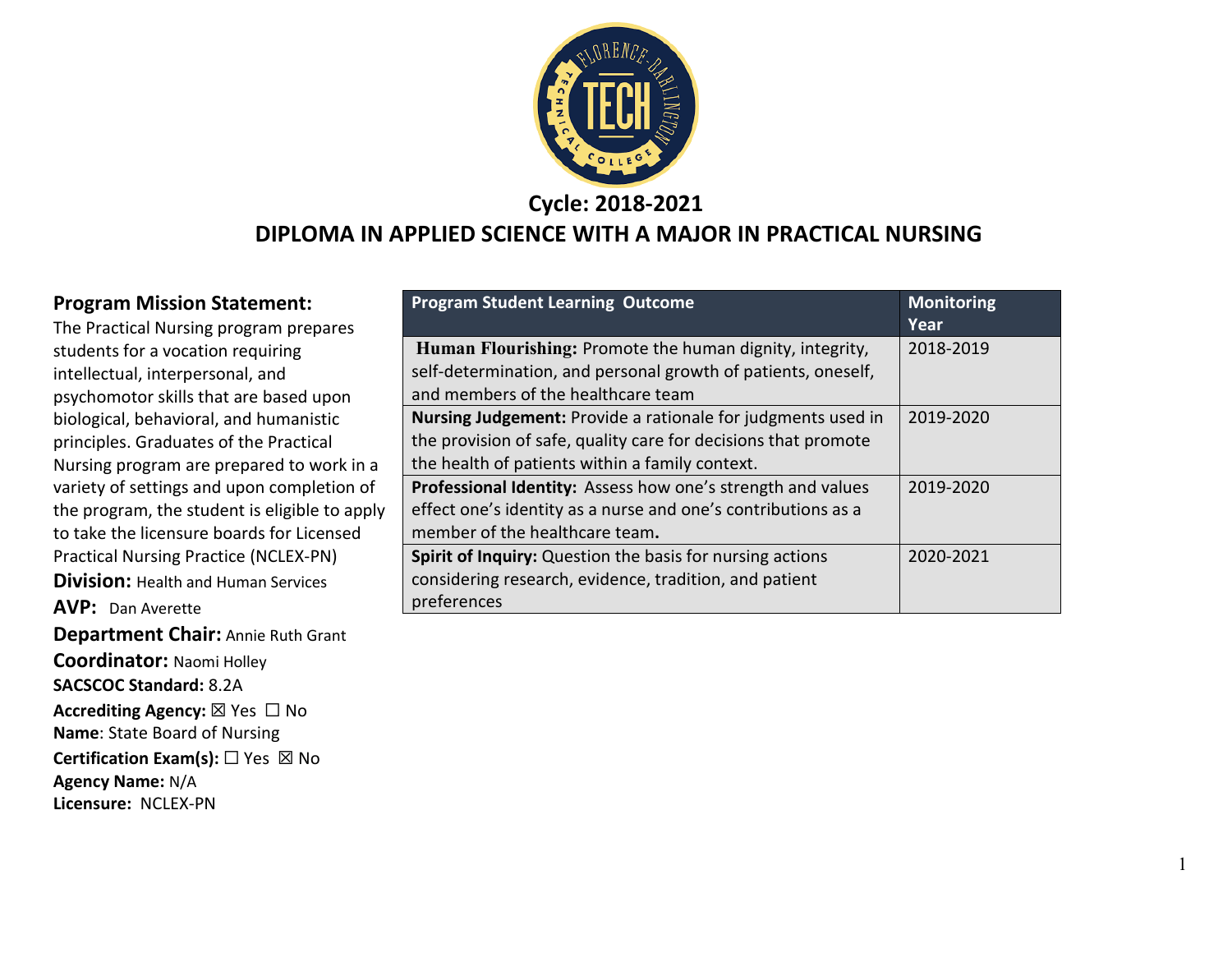

#### **Cycle: 2018-2021**

#### **DIPLOMA IN APPLIED SCIENCE WITH A MAJOR IN PRACTICAL NURSING**

**Program Mission Statement:**

The Practical Nursing program prepares students for a vocation requiring intellectual, interpersonal, and psychomotor skills that are based upon biological, behavioral, and humanistic principles. Graduates of the Practical Nursing program are prepared to work in a variety of settings and upon completion of the program, the student is eligible to apply to take the licensure boards for Licensed Practical Nursing Practice (NCLEX-PN) **Division: Health and Human Services AVP:** Dan Averette **Department Chair:** Annie Ruth Grant **Coordinator:** Naomi Holley **SACSCOC Standard:** 8.2A **Accrediting Agency:** ☒ Yes ☐ No **Name**: State Board of Nursing **Certification Exam(s):** □ Yes ⊠ No **Agency Name:** N/A **Licensure:** NCLEX-PN

| <b>Program Student Learning Outcome</b>                                                                                   | <b>Monitoring</b><br>Year |
|---------------------------------------------------------------------------------------------------------------------------|---------------------------|
| Human Flourishing: Promote the human dignity, integrity,<br>self-determination, and personal growth of patients, oneself, | 2018-2019                 |
| and members of the healthcare team                                                                                        |                           |
| <b>Nursing Judgement:</b> Provide a rationale for judgments used in                                                       | 2019-2020                 |
| the provision of safe, quality care for decisions that promote                                                            |                           |
| the health of patients within a family context.                                                                           |                           |
| Professional Identity: Assess how one's strength and values                                                               | 2019-2020                 |
| effect one's identity as a nurse and one's contributions as a                                                             |                           |
| member of the healthcare team.                                                                                            |                           |
| Spirit of Inquiry: Question the basis for nursing actions                                                                 | 2020-2021                 |
| considering research, evidence, tradition, and patient                                                                    |                           |
| preferences                                                                                                               |                           |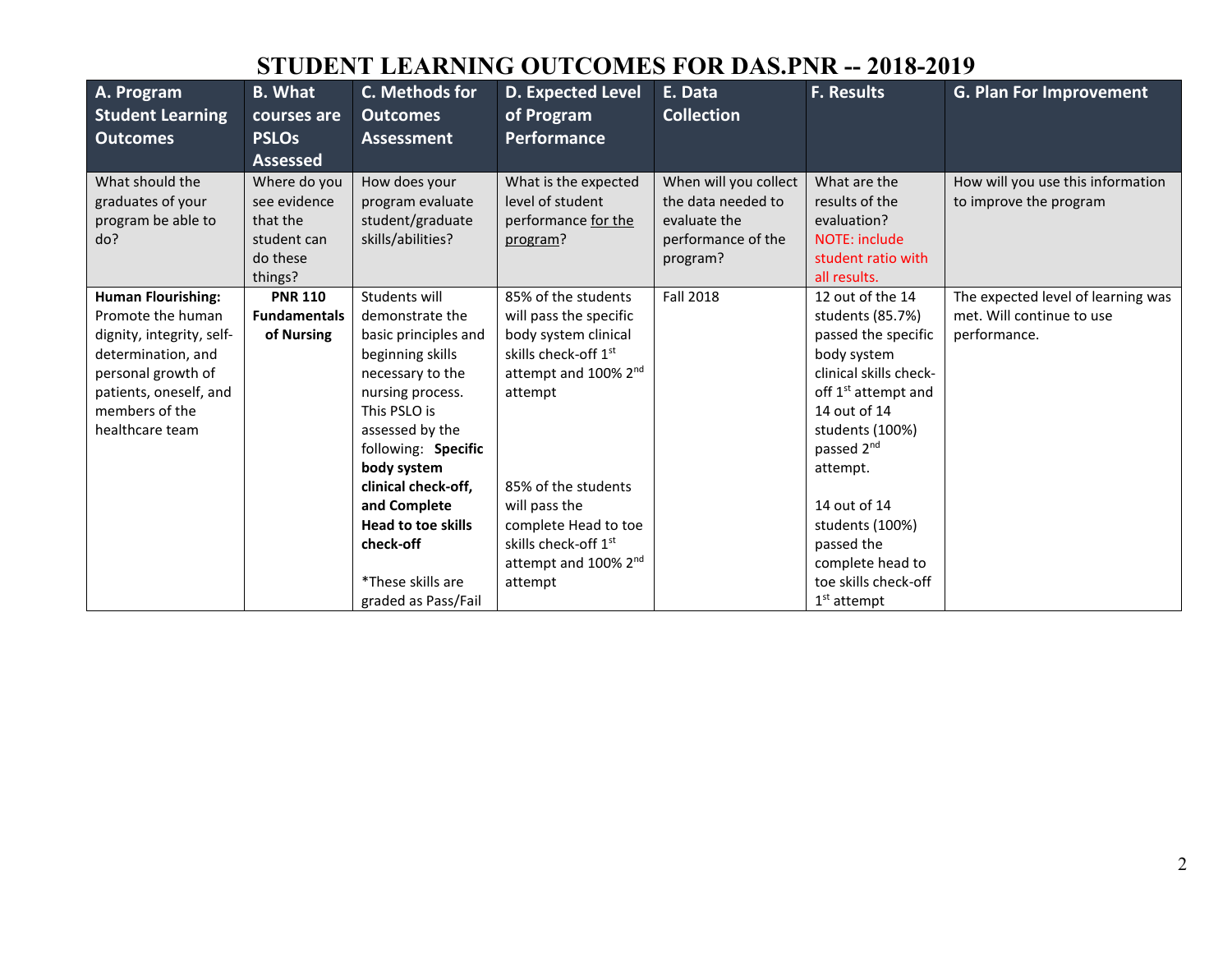## **STUDENT LEARNING OUTCOMES FOR DAS.PNR -- 2018-2019**

| A. Program                | <b>B.</b> What      | C. Methods for            | <b>D. Expected Level</b>         | E. Data               | <b>F. Results</b>               | <b>G. Plan For Improvement</b>     |
|---------------------------|---------------------|---------------------------|----------------------------------|-----------------------|---------------------------------|------------------------------------|
| <b>Student Learning</b>   | courses are         | <b>Outcomes</b>           | of Program                       | <b>Collection</b>     |                                 |                                    |
| <b>Outcomes</b>           | <b>PSLOs</b>        | <b>Assessment</b>         | <b>Performance</b>               |                       |                                 |                                    |
|                           | <b>Assessed</b>     |                           |                                  |                       |                                 |                                    |
| What should the           | Where do you        | How does your             | What is the expected             | When will you collect | What are the                    | How will you use this information  |
| graduates of your         | see evidence        | program evaluate          | level of student                 | the data needed to    | results of the                  | to improve the program             |
| program be able to        | that the            | student/graduate          | performance for the              | evaluate the          | evaluation?                     |                                    |
| do?                       | student can         | skills/abilities?         | program?                         | performance of the    | NOTE: include                   |                                    |
|                           | do these            |                           |                                  | program?              | student ratio with              |                                    |
|                           | things?             |                           |                                  |                       | all results.                    |                                    |
| <b>Human Flourishing:</b> | <b>PNR 110</b>      | Students will             | 85% of the students              | <b>Fall 2018</b>      | 12 out of the 14                | The expected level of learning was |
| Promote the human         | <b>Fundamentals</b> | demonstrate the           | will pass the specific           |                       | students (85.7%)                | met. Will continue to use          |
| dignity, integrity, self- | of Nursing          | basic principles and      | body system clinical             |                       | passed the specific             | performance.                       |
| determination, and        |                     | beginning skills          | skills check-off 1st             |                       | body system                     |                                    |
| personal growth of        |                     | necessary to the          | attempt and 100% 2 <sup>nd</sup> |                       | clinical skills check-          |                                    |
| patients, oneself, and    |                     | nursing process.          | attempt                          |                       | off 1 <sup>st</sup> attempt and |                                    |
| members of the            |                     | This PSLO is              |                                  |                       | 14 out of 14                    |                                    |
| healthcare team           |                     | assessed by the           |                                  |                       | students (100%)                 |                                    |
|                           |                     | following: Specific       |                                  |                       | passed 2 <sup>nd</sup>          |                                    |
|                           |                     | body system               |                                  |                       | attempt.                        |                                    |
|                           |                     | clinical check-off,       | 85% of the students              |                       |                                 |                                    |
|                           |                     | and Complete              | will pass the                    |                       | 14 out of 14                    |                                    |
|                           |                     | <b>Head to toe skills</b> | complete Head to toe             |                       | students (100%)                 |                                    |
|                           |                     | check-off                 | skills check-off 1st             |                       | passed the                      |                                    |
|                           |                     |                           | attempt and 100% 2 <sup>nd</sup> |                       | complete head to                |                                    |
|                           |                     | *These skills are         | attempt                          |                       | toe skills check-off            |                                    |
|                           |                     | graded as Pass/Fail       |                                  |                       | $1st$ attempt                   |                                    |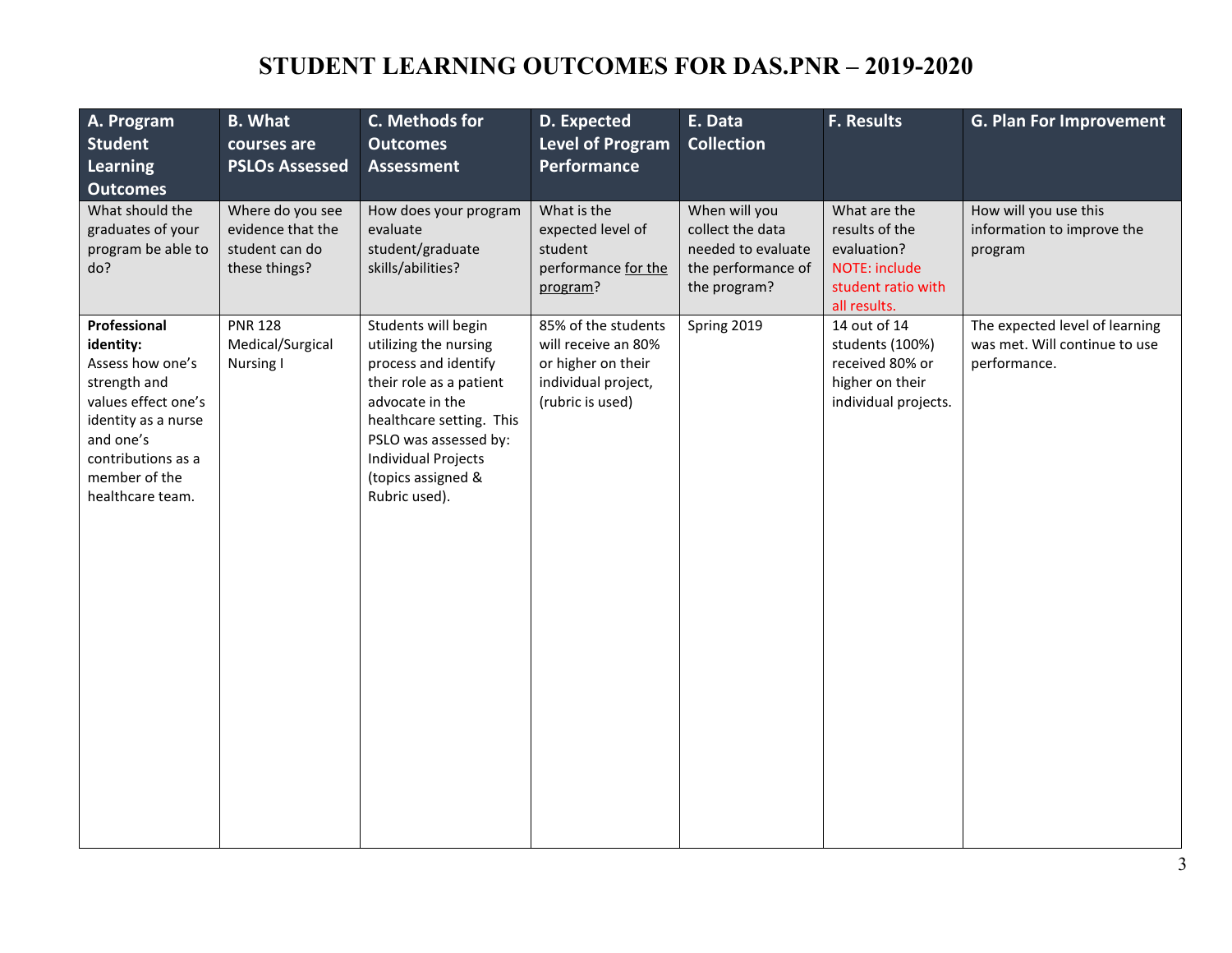# **STUDENT LEARNING OUTCOMES FOR DAS.PNR – 2019-2020**

| A. Program<br><b>Student</b><br>Learning<br><b>Outcomes</b>                                                                                                                         | <b>B.</b> What<br>courses are<br><b>PSLOs Assessed</b>                   | C. Methods for<br><b>Outcomes</b><br><b>Assessment</b>                                                                                                                                                                                       | D. Expected<br><b>Level of Program</b><br>Performance                                                       | E. Data<br><b>Collection</b>                                                                  | <b>F. Results</b>                                                                                    | <b>G. Plan For Improvement</b>                                                  |
|-------------------------------------------------------------------------------------------------------------------------------------------------------------------------------------|--------------------------------------------------------------------------|----------------------------------------------------------------------------------------------------------------------------------------------------------------------------------------------------------------------------------------------|-------------------------------------------------------------------------------------------------------------|-----------------------------------------------------------------------------------------------|------------------------------------------------------------------------------------------------------|---------------------------------------------------------------------------------|
| What should the<br>graduates of your<br>program be able to<br>do?                                                                                                                   | Where do you see<br>evidence that the<br>student can do<br>these things? | How does your program<br>evaluate<br>student/graduate<br>skills/abilities?                                                                                                                                                                   | What is the<br>expected level of<br>student<br>performance for the<br>program?                              | When will you<br>collect the data<br>needed to evaluate<br>the performance of<br>the program? | What are the<br>results of the<br>evaluation?<br>NOTE: include<br>student ratio with<br>all results. | How will you use this<br>information to improve the<br>program                  |
| Professional<br>identity:<br>Assess how one's<br>strength and<br>values effect one's<br>identity as a nurse<br>and one's<br>contributions as a<br>member of the<br>healthcare team. | <b>PNR 128</b><br>Medical/Surgical<br>Nursing I                          | Students will begin<br>utilizing the nursing<br>process and identify<br>their role as a patient<br>advocate in the<br>healthcare setting. This<br>PSLO was assessed by:<br><b>Individual Projects</b><br>(topics assigned &<br>Rubric used). | 85% of the students<br>will receive an 80%<br>or higher on their<br>individual project,<br>(rubric is used) | Spring 2019                                                                                   | 14 out of 14<br>students (100%)<br>received 80% or<br>higher on their<br>individual projects.        | The expected level of learning<br>was met. Will continue to use<br>performance. |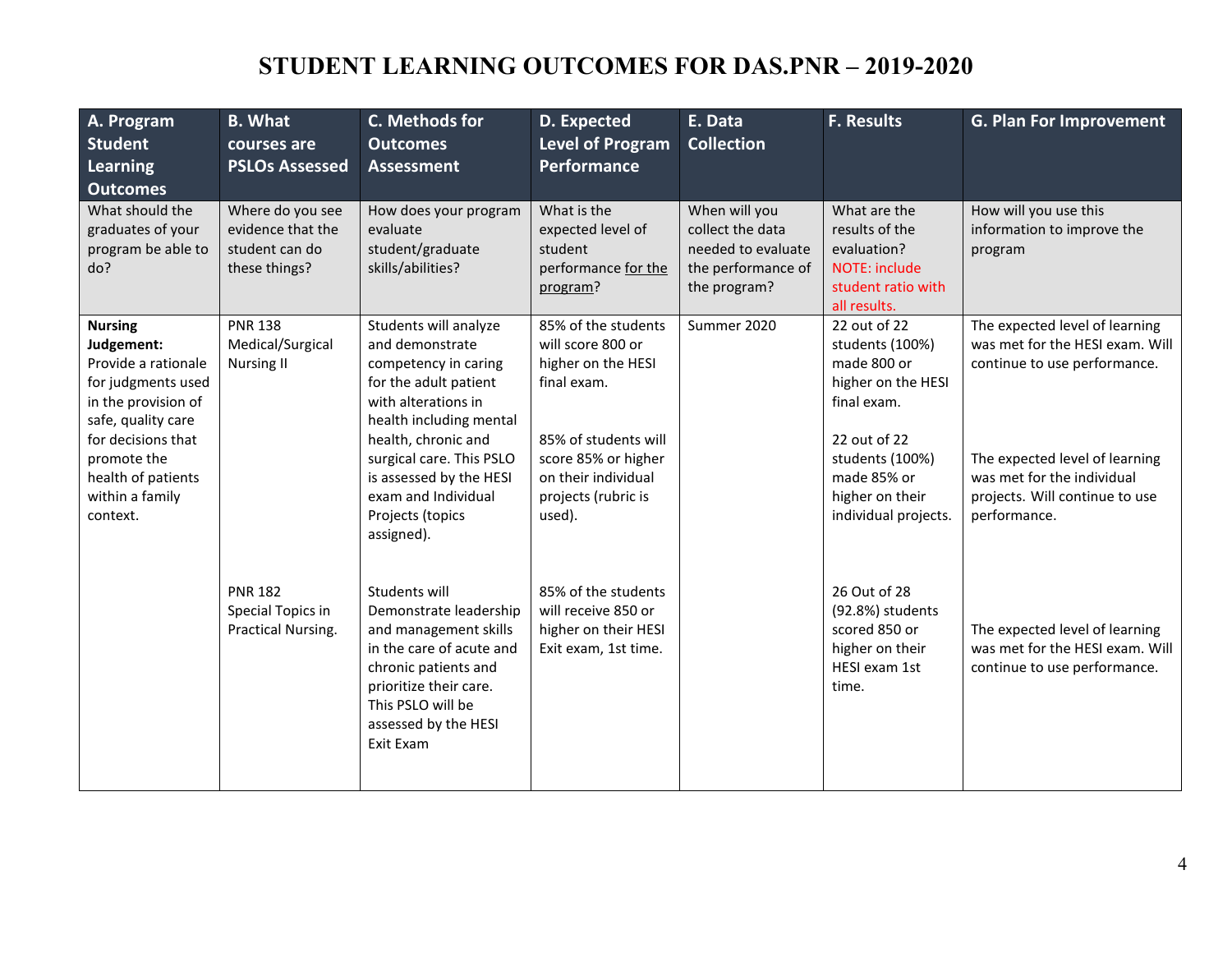# **STUDENT LEARNING OUTCOMES FOR DAS.PNR – 2019-2020**

| A. Program<br><b>Student</b><br>Learning<br><b>Outcomes</b>                                                                                                                                                      | <b>B.</b> What<br>courses are<br><b>PSLOs Assessed</b>                   | C. Methods for<br><b>Outcomes</b><br><b>Assessment</b>                                                                                                                                                                                                                             | D. Expected<br><b>Level of Program</b><br>Performance                                                                                                                                | E. Data<br><b>Collection</b>                                                                  | <b>F. Results</b>                                                                                                                                                                | <b>G. Plan For Improvement</b>                                                                                                                                                                                      |
|------------------------------------------------------------------------------------------------------------------------------------------------------------------------------------------------------------------|--------------------------------------------------------------------------|------------------------------------------------------------------------------------------------------------------------------------------------------------------------------------------------------------------------------------------------------------------------------------|--------------------------------------------------------------------------------------------------------------------------------------------------------------------------------------|-----------------------------------------------------------------------------------------------|----------------------------------------------------------------------------------------------------------------------------------------------------------------------------------|---------------------------------------------------------------------------------------------------------------------------------------------------------------------------------------------------------------------|
| What should the<br>graduates of your<br>program be able to<br>do?                                                                                                                                                | Where do you see<br>evidence that the<br>student can do<br>these things? | How does your program<br>evaluate<br>student/graduate<br>skills/abilities?                                                                                                                                                                                                         | What is the<br>expected level of<br>student<br>performance for the<br>program?                                                                                                       | When will you<br>collect the data<br>needed to evaluate<br>the performance of<br>the program? | What are the<br>results of the<br>evaluation?<br>NOTE: include<br>student ratio with<br>all results.                                                                             | How will you use this<br>information to improve the<br>program                                                                                                                                                      |
| <b>Nursing</b><br>Judgement:<br>Provide a rationale<br>for judgments used<br>in the provision of<br>safe, quality care<br>for decisions that<br>promote the<br>health of patients<br>within a family<br>context. | <b>PNR 138</b><br>Medical/Surgical<br><b>Nursing II</b>                  | Students will analyze<br>and demonstrate<br>competency in caring<br>for the adult patient<br>with alterations in<br>health including mental<br>health, chronic and<br>surgical care. This PSLO<br>is assessed by the HESI<br>exam and Individual<br>Projects (topics<br>assigned). | 85% of the students<br>will score 800 or<br>higher on the HESI<br>final exam.<br>85% of students will<br>score 85% or higher<br>on their individual<br>projects (rubric is<br>used). | Summer 2020                                                                                   | 22 out of 22<br>students (100%)<br>made 800 or<br>higher on the HESI<br>final exam.<br>22 out of 22<br>students (100%)<br>made 85% or<br>higher on their<br>individual projects. | The expected level of learning<br>was met for the HESI exam. Will<br>continue to use performance.<br>The expected level of learning<br>was met for the individual<br>projects. Will continue to use<br>performance. |
|                                                                                                                                                                                                                  | <b>PNR 182</b><br>Special Topics in<br>Practical Nursing.                | Students will<br>Demonstrate leadership<br>and management skills<br>in the care of acute and<br>chronic patients and<br>prioritize their care.<br>This PSLO will be<br>assessed by the HESI<br>Exit Exam                                                                           | 85% of the students<br>will receive 850 or<br>higher on their HESI<br>Exit exam, 1st time.                                                                                           |                                                                                               | 26 Out of 28<br>(92.8%) students<br>scored 850 or<br>higher on their<br>HESI exam 1st<br>time.                                                                                   | The expected level of learning<br>was met for the HESI exam. Will<br>continue to use performance.                                                                                                                   |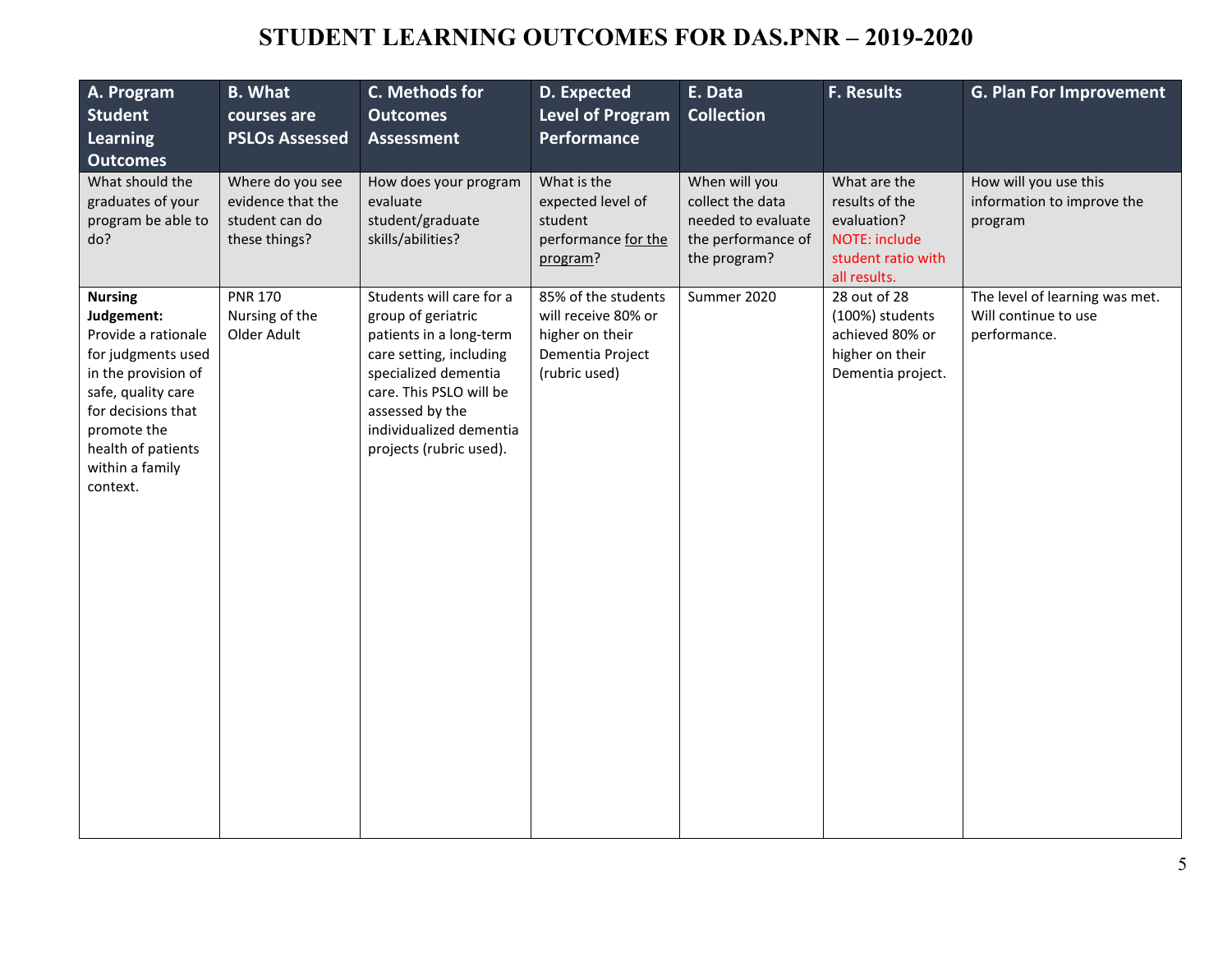### **STUDENT LEARNING OUTCOMES FOR DAS.PNR – 2019-2020**

| A. Program<br><b>Student</b><br><b>Learning</b><br><b>Outcomes</b>                                                                                                                                               | <b>B.</b> What<br>courses are<br><b>PSLOs Assessed</b>                   | C. Methods for<br><b>Outcomes</b><br><b>Assessment</b>                                                                                                                                                                           | D. Expected<br><b>Level of Program</b><br>Performance                                              | E. Data<br><b>Collection</b>                                                                  | F. Results                                                                                           | <b>G. Plan For Improvement</b>                                         |
|------------------------------------------------------------------------------------------------------------------------------------------------------------------------------------------------------------------|--------------------------------------------------------------------------|----------------------------------------------------------------------------------------------------------------------------------------------------------------------------------------------------------------------------------|----------------------------------------------------------------------------------------------------|-----------------------------------------------------------------------------------------------|------------------------------------------------------------------------------------------------------|------------------------------------------------------------------------|
| What should the<br>graduates of your<br>program be able to<br>do?                                                                                                                                                | Where do you see<br>evidence that the<br>student can do<br>these things? | How does your program<br>evaluate<br>student/graduate<br>skills/abilities?                                                                                                                                                       | What is the<br>expected level of<br>student<br>performance for the<br>program?                     | When will you<br>collect the data<br>needed to evaluate<br>the performance of<br>the program? | What are the<br>results of the<br>evaluation?<br>NOTE: include<br>student ratio with<br>all results. | How will you use this<br>information to improve the<br>program         |
| <b>Nursing</b><br>Judgement:<br>Provide a rationale<br>for judgments used<br>in the provision of<br>safe, quality care<br>for decisions that<br>promote the<br>health of patients<br>within a family<br>context. | <b>PNR 170</b><br>Nursing of the<br>Older Adult                          | Students will care for a<br>group of geriatric<br>patients in a long-term<br>care setting, including<br>specialized dementia<br>care. This PSLO will be<br>assessed by the<br>individualized dementia<br>projects (rubric used). | 85% of the students<br>will receive 80% or<br>higher on their<br>Dementia Project<br>(rubric used) | Summer 2020                                                                                   | 28 out of 28<br>(100%) students<br>achieved 80% or<br>higher on their<br>Dementia project.           | The level of learning was met.<br>Will continue to use<br>performance. |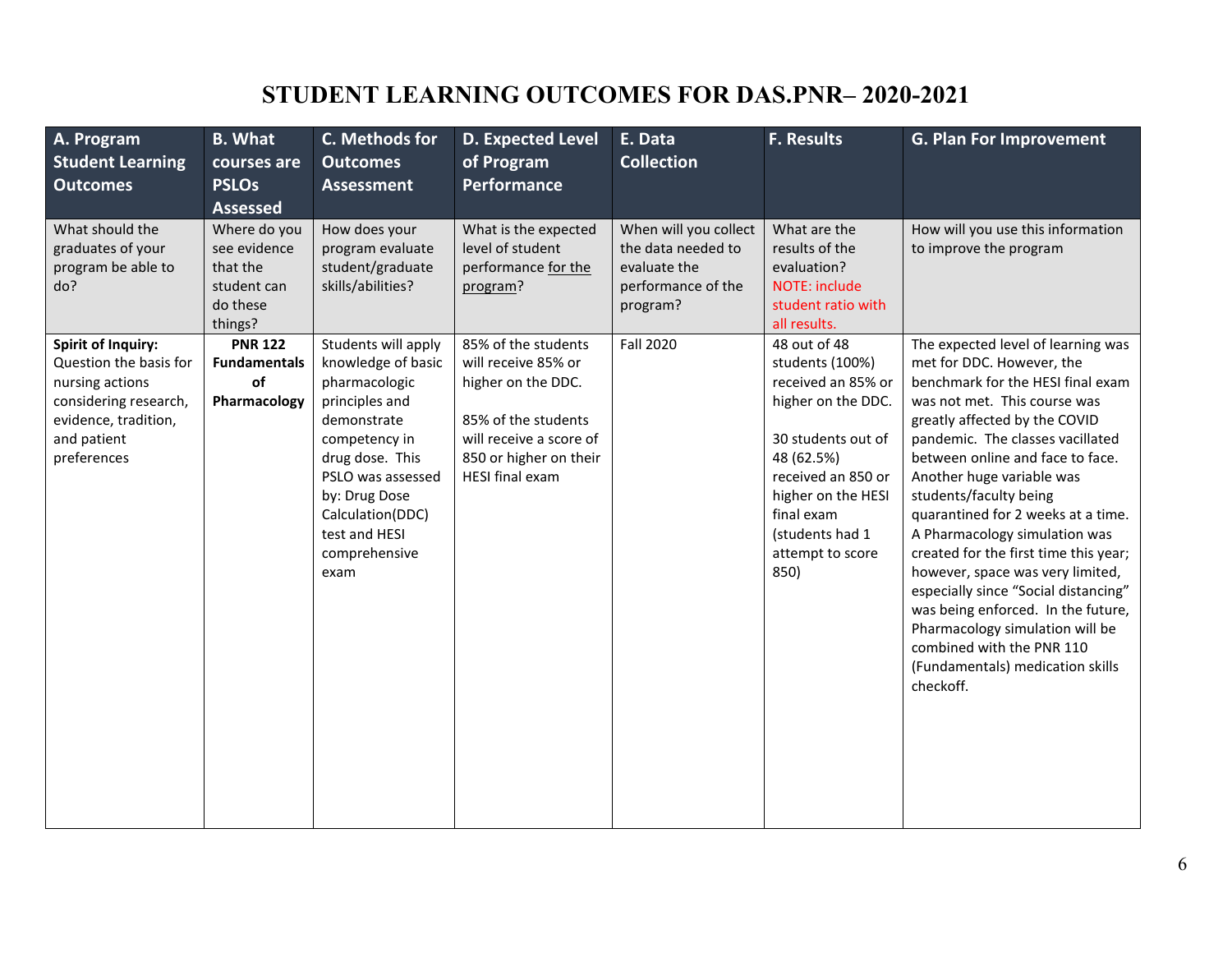## **STUDENT LEARNING OUTCOMES FOR DAS.PNR– 2020-2021**

| A. Program<br><b>Student Learning</b><br><b>Outcomes</b>                                                                                              | <b>B.</b> What<br>courses are<br><b>PSLOs</b><br><b>Assessed</b>               | C. Methods for<br><b>Outcomes</b><br><b>Assessment</b>                                                                                                                                                                              | <b>D. Expected Level</b><br>of Program<br><b>Performance</b>                                                                                                    | E. Data<br><b>Collection</b>                                                                  | <b>F. Results</b>                                                                                                                                                                                                        | <b>G. Plan For Improvement</b>                                                                                                                                                                                                                                                                                                                                                                                                                                                                                                                                                                                                                          |
|-------------------------------------------------------------------------------------------------------------------------------------------------------|--------------------------------------------------------------------------------|-------------------------------------------------------------------------------------------------------------------------------------------------------------------------------------------------------------------------------------|-----------------------------------------------------------------------------------------------------------------------------------------------------------------|-----------------------------------------------------------------------------------------------|--------------------------------------------------------------------------------------------------------------------------------------------------------------------------------------------------------------------------|---------------------------------------------------------------------------------------------------------------------------------------------------------------------------------------------------------------------------------------------------------------------------------------------------------------------------------------------------------------------------------------------------------------------------------------------------------------------------------------------------------------------------------------------------------------------------------------------------------------------------------------------------------|
| What should the<br>graduates of your<br>program be able to<br>do?                                                                                     | Where do you<br>see evidence<br>that the<br>student can<br>do these<br>things? | How does your<br>program evaluate<br>student/graduate<br>skills/abilities?                                                                                                                                                          | What is the expected<br>level of student<br>performance for the<br>program?                                                                                     | When will you collect<br>the data needed to<br>evaluate the<br>performance of the<br>program? | What are the<br>results of the<br>evaluation?<br>NOTE: include<br>student ratio with<br>all results.                                                                                                                     | How will you use this information<br>to improve the program                                                                                                                                                                                                                                                                                                                                                                                                                                                                                                                                                                                             |
| <b>Spirit of Inquiry:</b><br>Question the basis for<br>nursing actions<br>considering research,<br>evidence, tradition,<br>and patient<br>preferences | <b>PNR 122</b><br><b>Fundamentals</b><br>of<br>Pharmacology                    | Students will apply<br>knowledge of basic<br>pharmacologic<br>principles and<br>demonstrate<br>competency in<br>drug dose. This<br>PSLO was assessed<br>by: Drug Dose<br>Calculation(DDC)<br>test and HESI<br>comprehensive<br>exam | 85% of the students<br>will receive 85% or<br>higher on the DDC.<br>85% of the students<br>will receive a score of<br>850 or higher on their<br>HESI final exam | <b>Fall 2020</b>                                                                              | 48 out of 48<br>students (100%)<br>received an 85% or<br>higher on the DDC.<br>30 students out of<br>48 (62.5%)<br>received an 850 or<br>higher on the HESI<br>final exam<br>(students had 1<br>attempt to score<br>850) | The expected level of learning was<br>met for DDC. However, the<br>benchmark for the HESI final exam<br>was not met. This course was<br>greatly affected by the COVID<br>pandemic. The classes vacillated<br>between online and face to face.<br>Another huge variable was<br>students/faculty being<br>quarantined for 2 weeks at a time.<br>A Pharmacology simulation was<br>created for the first time this year;<br>however, space was very limited,<br>especially since "Social distancing"<br>was being enforced. In the future,<br>Pharmacology simulation will be<br>combined with the PNR 110<br>(Fundamentals) medication skills<br>checkoff. |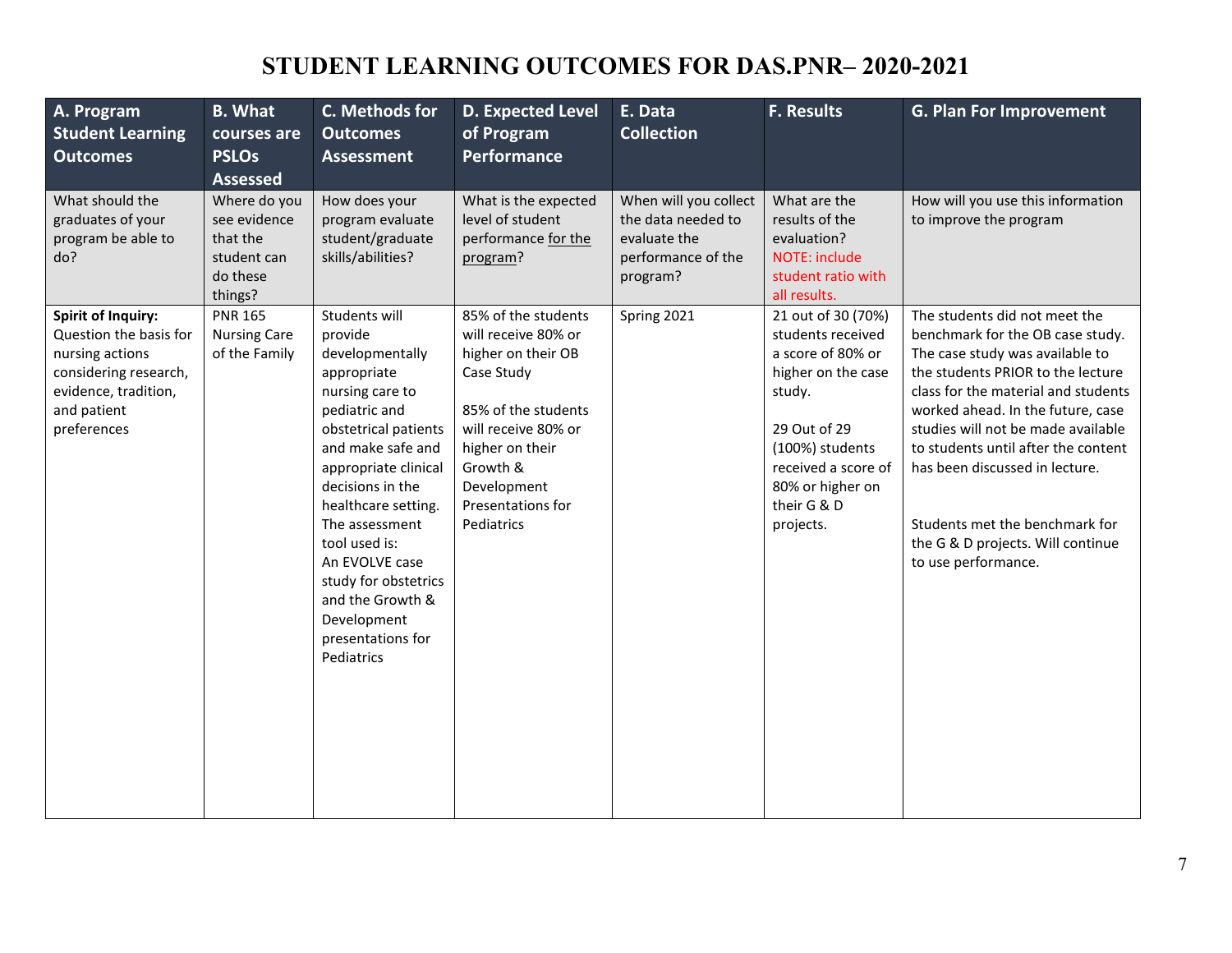# **STUDENT LEARNING OUTCOMES FOR DAS.PNR– 2020-2021**

| A. Program<br><b>Student Learning</b><br><b>Outcomes</b>                                                                                              | <b>B.</b> What<br>courses are<br><b>PSLOs</b><br><b>Assessed</b>               | C. Methods for<br><b>Outcomes</b><br><b>Assessment</b>                                                                                                                                                                                                                                                                                                            | <b>D. Expected Level</b><br>of Program<br><b>Performance</b>                                                                                                                                                  | E. Data<br><b>Collection</b>                                                                  | <b>F. Results</b>                                                                                                                                                                                      | <b>G. Plan For Improvement</b>                                                                                                                                                                                                                                                                                                                                                                                                     |
|-------------------------------------------------------------------------------------------------------------------------------------------------------|--------------------------------------------------------------------------------|-------------------------------------------------------------------------------------------------------------------------------------------------------------------------------------------------------------------------------------------------------------------------------------------------------------------------------------------------------------------|---------------------------------------------------------------------------------------------------------------------------------------------------------------------------------------------------------------|-----------------------------------------------------------------------------------------------|--------------------------------------------------------------------------------------------------------------------------------------------------------------------------------------------------------|------------------------------------------------------------------------------------------------------------------------------------------------------------------------------------------------------------------------------------------------------------------------------------------------------------------------------------------------------------------------------------------------------------------------------------|
| What should the<br>graduates of your<br>program be able to<br>do?                                                                                     | Where do you<br>see evidence<br>that the<br>student can<br>do these<br>things? | How does your<br>program evaluate<br>student/graduate<br>skills/abilities?                                                                                                                                                                                                                                                                                        | What is the expected<br>level of student<br>performance for the<br>program?                                                                                                                                   | When will you collect<br>the data needed to<br>evaluate the<br>performance of the<br>program? | What are the<br>results of the<br>evaluation?<br>NOTE: include<br>student ratio with<br>all results.                                                                                                   | How will you use this information<br>to improve the program                                                                                                                                                                                                                                                                                                                                                                        |
| <b>Spirit of Inquiry:</b><br>Question the basis for<br>nursing actions<br>considering research,<br>evidence, tradition,<br>and patient<br>preferences | <b>PNR 165</b><br><b>Nursing Care</b><br>of the Family                         | Students will<br>provide<br>developmentally<br>appropriate<br>nursing care to<br>pediatric and<br>obstetrical patients<br>and make safe and<br>appropriate clinical<br>decisions in the<br>healthcare setting.<br>The assessment<br>tool used is:<br>An EVOLVE case<br>study for obstetrics<br>and the Growth &<br>Development<br>presentations for<br>Pediatrics | 85% of the students<br>will receive 80% or<br>higher on their OB<br>Case Study<br>85% of the students<br>will receive 80% or<br>higher on their<br>Growth &<br>Development<br>Presentations for<br>Pediatrics | Spring 2021                                                                                   | 21 out of 30 (70%)<br>students received<br>a score of 80% or<br>higher on the case<br>study.<br>29 Out of 29<br>(100%) students<br>received a score of<br>80% or higher on<br>their G & D<br>projects. | The students did not meet the<br>benchmark for the OB case study.<br>The case study was available to<br>the students PRIOR to the lecture<br>class for the material and students<br>worked ahead. In the future, case<br>studies will not be made available<br>to students until after the content<br>has been discussed in lecture.<br>Students met the benchmark for<br>the G & D projects. Will continue<br>to use performance. |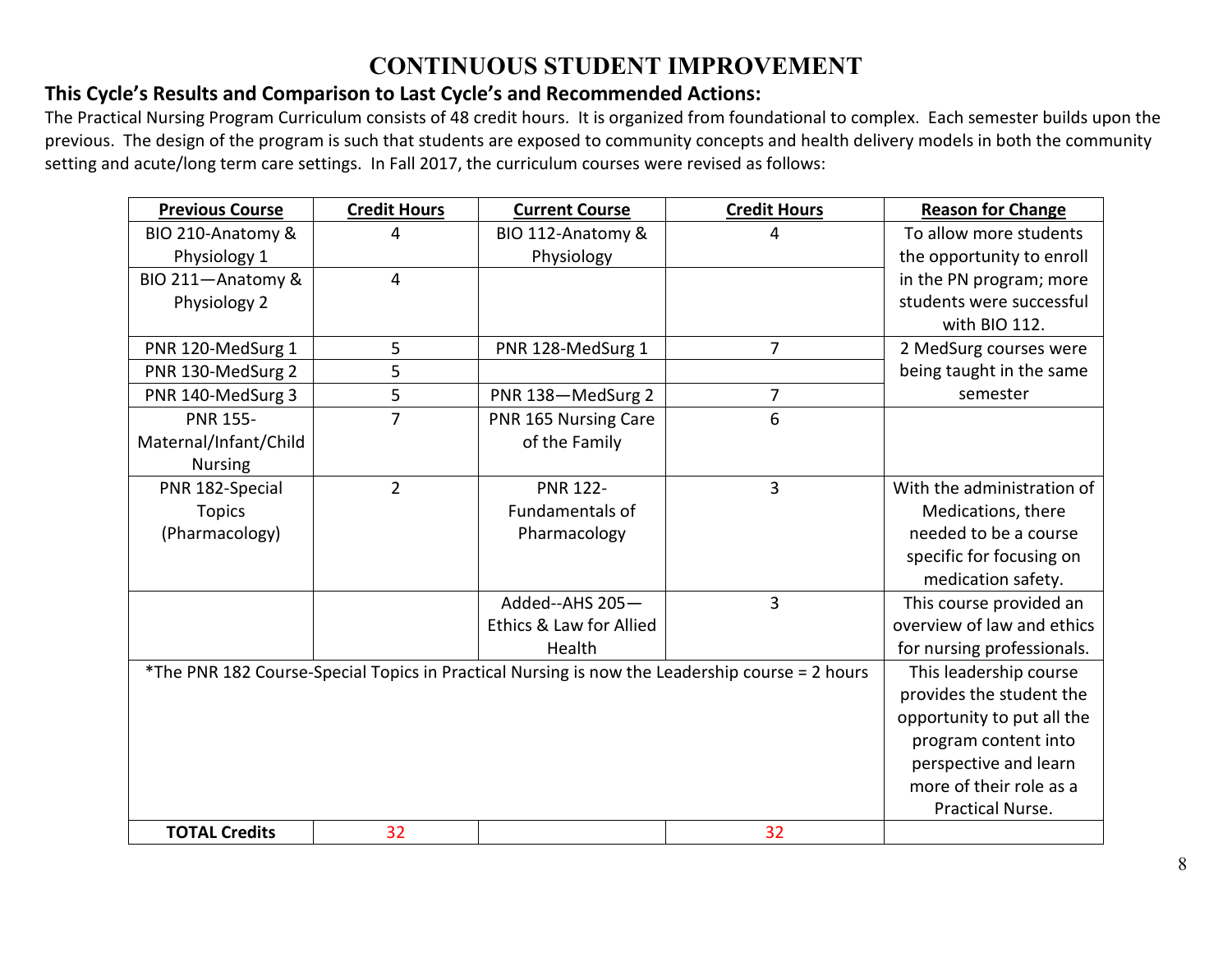### **CONTINUOUS STUDENT IMPROVEMENT**

#### **This Cycle's Results and Comparison to Last Cycle's and Recommended Actions:**

The Practical Nursing Program Curriculum consists of 48 credit hours. It is organized from foundational to complex. Each semester builds upon the previous. The design of the program is such that students are exposed to community concepts and health delivery models in both the community setting and acute/long term care settings. In Fall 2017, the curriculum courses were revised as follows:

| <b>Previous Course</b> | <b>Credit Hours</b> | <b>Current Course</b>   | <b>Credit Hours</b>                                                                            | <b>Reason for Change</b>   |
|------------------------|---------------------|-------------------------|------------------------------------------------------------------------------------------------|----------------------------|
| BIO 210-Anatomy &      | 4                   | BIO 112-Anatomy &       | 4                                                                                              | To allow more students     |
| Physiology 1           |                     | Physiology              |                                                                                                | the opportunity to enroll  |
| BIO 211-Anatomy &      | 4                   |                         |                                                                                                | in the PN program; more    |
| Physiology 2           |                     |                         |                                                                                                | students were successful   |
|                        |                     |                         |                                                                                                | with BIO 112.              |
| PNR 120-MedSurg 1      | 5                   | PNR 128-MedSurg 1       | $\overline{7}$                                                                                 | 2 MedSurg courses were     |
| PNR 130-MedSurg 2      | 5                   |                         |                                                                                                | being taught in the same   |
| PNR 140-MedSurg 3      | 5                   | PNR 138-MedSurg 2       | $\overline{7}$                                                                                 | semester                   |
| <b>PNR 155-</b>        | $\overline{7}$      | PNR 165 Nursing Care    | 6                                                                                              |                            |
| Maternal/Infant/Child  |                     | of the Family           |                                                                                                |                            |
| <b>Nursing</b>         |                     |                         |                                                                                                |                            |
| PNR 182-Special        | $\overline{2}$      | <b>PNR 122-</b>         | $\overline{3}$                                                                                 | With the administration of |
| <b>Topics</b>          |                     | <b>Fundamentals of</b>  |                                                                                                | Medications, there         |
| (Pharmacology)         |                     | Pharmacology            |                                                                                                | needed to be a course      |
|                        |                     |                         |                                                                                                | specific for focusing on   |
|                        |                     |                         |                                                                                                | medication safety.         |
|                        |                     | Added--AHS 205-         | 3                                                                                              | This course provided an    |
|                        |                     | Ethics & Law for Allied |                                                                                                | overview of law and ethics |
|                        |                     | Health                  |                                                                                                | for nursing professionals. |
|                        |                     |                         | *The PNR 182 Course-Special Topics in Practical Nursing is now the Leadership course = 2 hours | This leadership course     |
|                        |                     |                         |                                                                                                | provides the student the   |
|                        |                     |                         |                                                                                                | opportunity to put all the |
|                        |                     |                         |                                                                                                | program content into       |
|                        |                     |                         |                                                                                                | perspective and learn      |
|                        |                     |                         |                                                                                                | more of their role as a    |
|                        |                     |                         |                                                                                                | <b>Practical Nurse.</b>    |
| <b>TOTAL Credits</b>   | 32                  |                         | 32                                                                                             |                            |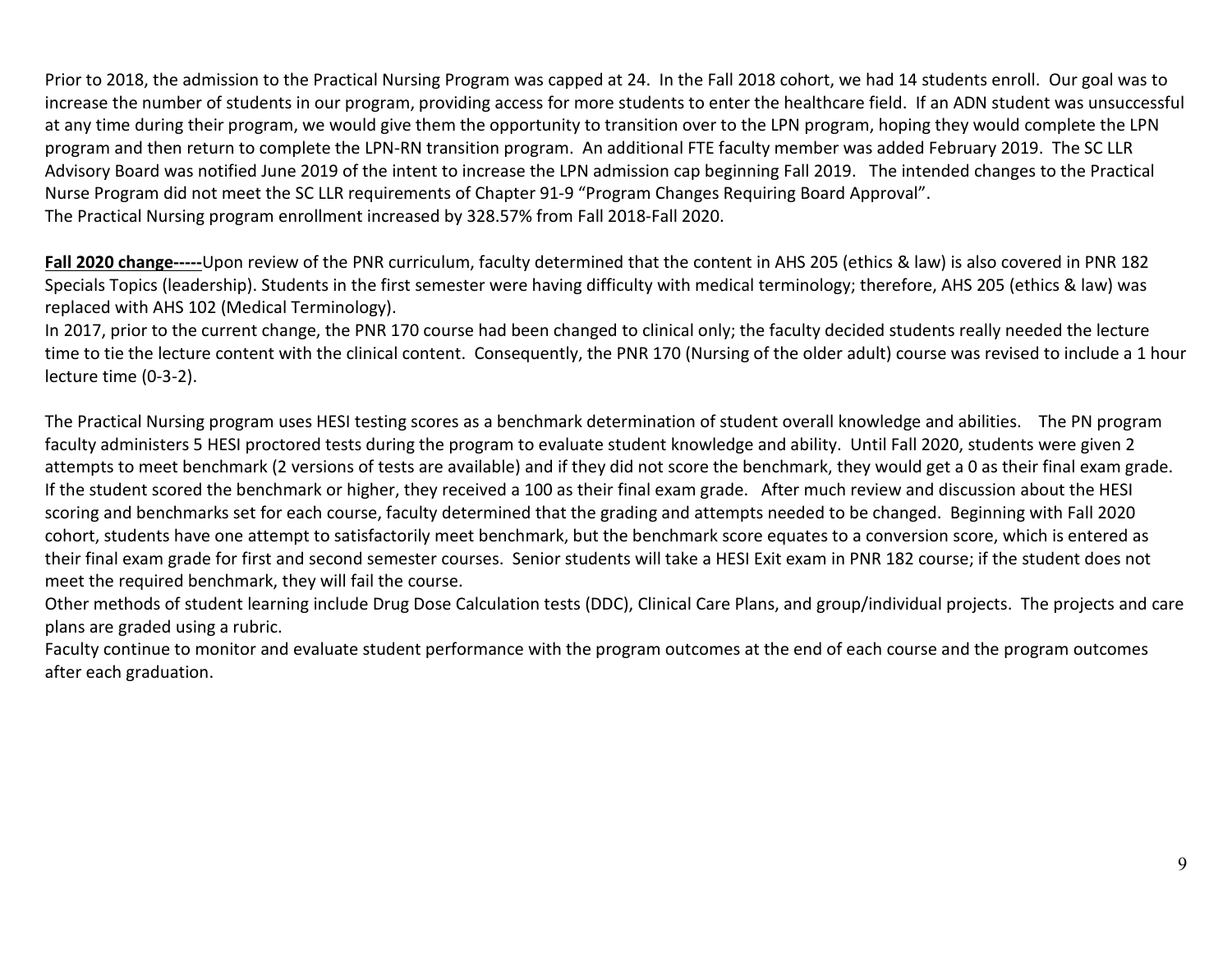Prior to 2018, the admission to the Practical Nursing Program was capped at 24. In the Fall 2018 cohort, we had 14 students enroll. Our goal was to increase the number of students in our program, providing access for more students to enter the healthcare field. If an ADN student was unsuccessful at any time during their program, we would give them the opportunity to transition over to the LPN program, hoping they would complete the LPN program and then return to complete the LPN-RN transition program. An additional FTE faculty member was added February 2019. The SC LLR Advisory Board was notified June 2019 of the intent to increase the LPN admission cap beginning Fall 2019. The intended changes to the Practical Nurse Program did not meet the SC LLR requirements of Chapter 91-9 "Program Changes Requiring Board Approval". The Practical Nursing program enrollment increased by 328.57% from Fall 2018-Fall 2020.

**Fall 2020 change-----**Upon review of the PNR curriculum, faculty determined that the content in AHS 205 (ethics & law) is also covered in PNR 182 Specials Topics (leadership). Students in the first semester were having difficulty with medical terminology; therefore, AHS 205 (ethics & law) was replaced with AHS 102 (Medical Terminology).

In 2017, prior to the current change, the PNR 170 course had been changed to clinical only; the faculty decided students really needed the lecture time to tie the lecture content with the clinical content. Consequently, the PNR 170 (Nursing of the older adult) course was revised to include a 1 hour lecture time (0-3-2).

The Practical Nursing program uses HESI testing scores as a benchmark determination of student overall knowledge and abilities. The PN program faculty administers 5 HESI proctored tests during the program to evaluate student knowledge and ability. Until Fall 2020, students were given 2 attempts to meet benchmark (2 versions of tests are available) and if they did not score the benchmark, they would get a 0 as their final exam grade. If the student scored the benchmark or higher, they received a 100 as their final exam grade. After much review and discussion about the HESI scoring and benchmarks set for each course, faculty determined that the grading and attempts needed to be changed. Beginning with Fall 2020 cohort, students have one attempt to satisfactorily meet benchmark, but the benchmark score equates to a conversion score, which is entered as their final exam grade for first and second semester courses. Senior students will take a HESI Exit exam in PNR 182 course; if the student does not meet the required benchmark, they will fail the course.

Other methods of student learning include Drug Dose Calculation tests (DDC), Clinical Care Plans, and group/individual projects. The projects and care plans are graded using a rubric.

Faculty continue to monitor and evaluate student performance with the program outcomes at the end of each course and the program outcomes after each graduation.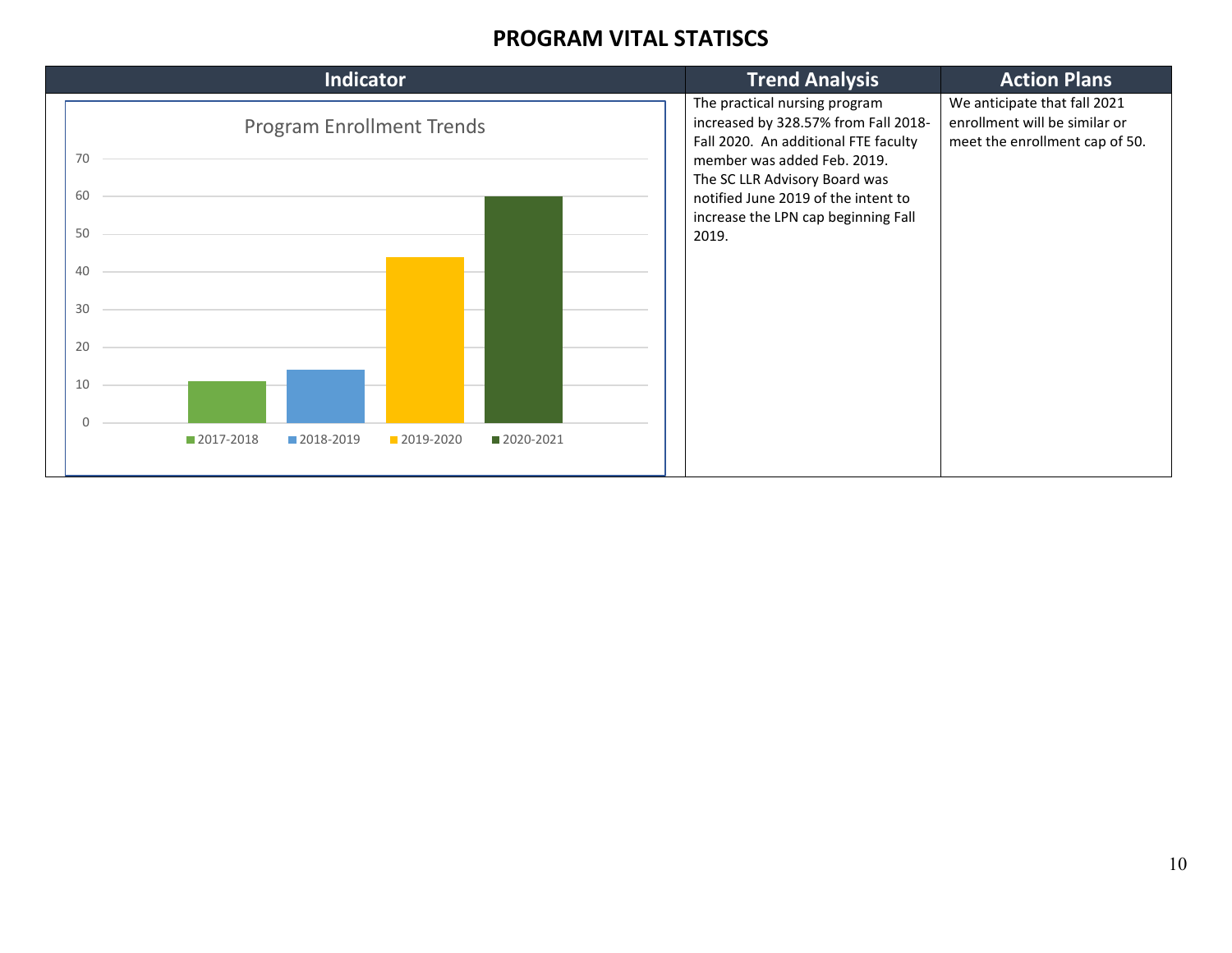#### **PROGRAM VITAL STATISCS**

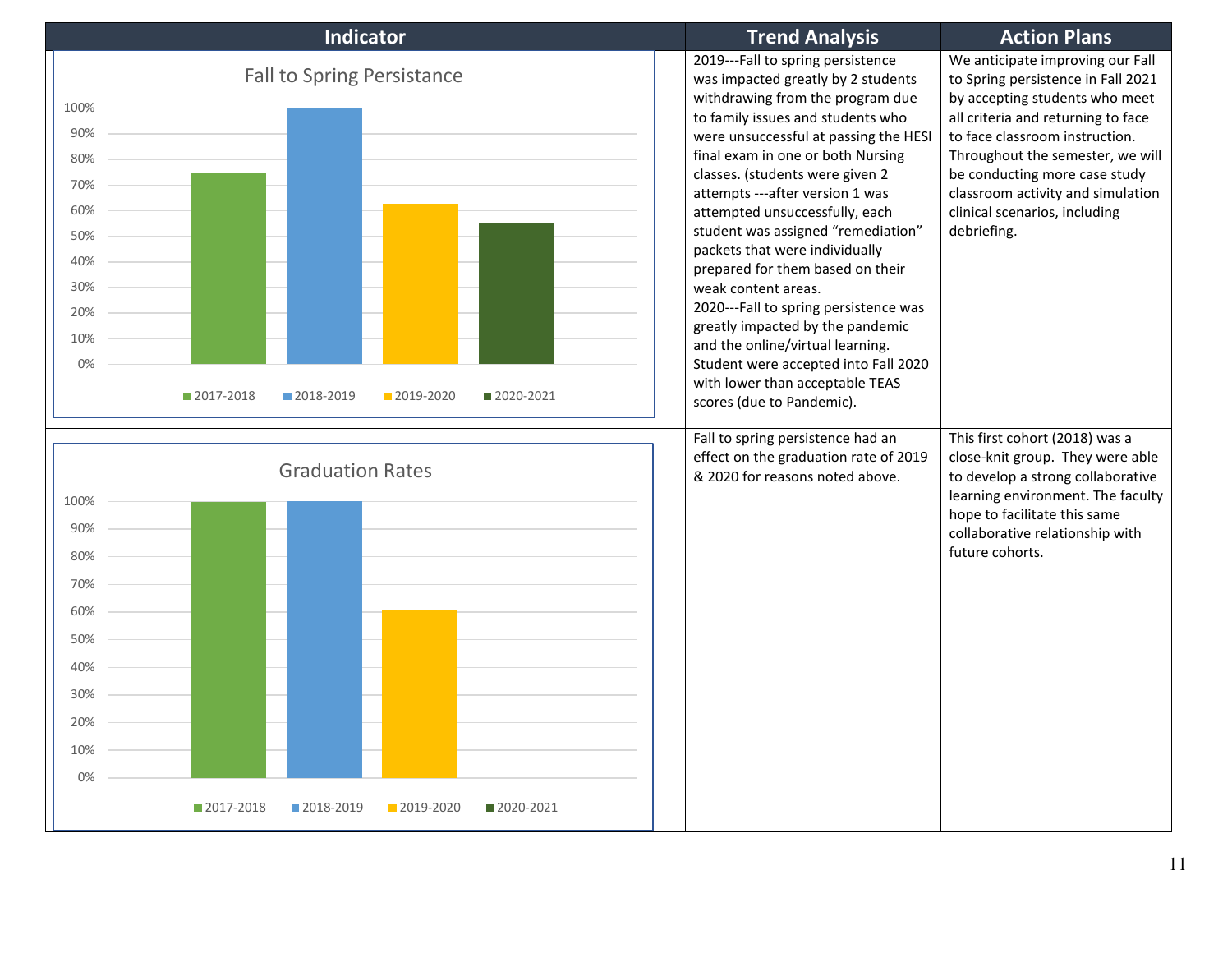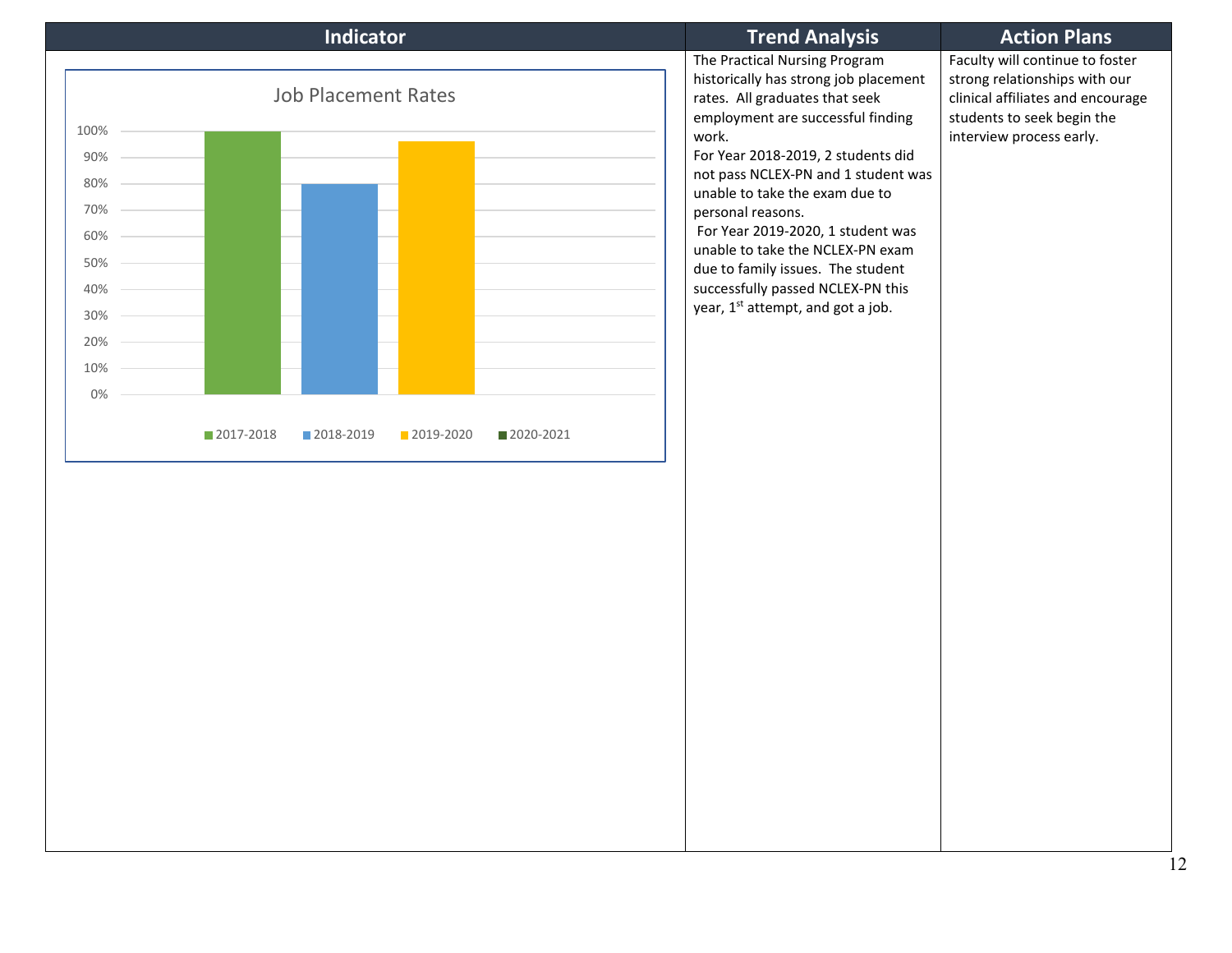|                                                                     | <b>Indicator</b>                                     | <b>Trend Analysis</b>                                                                                                                                                                                                                                                                                                                                                                                                                                                                          | <b>Action Plans</b>                                                                                                                                             |
|---------------------------------------------------------------------|------------------------------------------------------|------------------------------------------------------------------------------------------------------------------------------------------------------------------------------------------------------------------------------------------------------------------------------------------------------------------------------------------------------------------------------------------------------------------------------------------------------------------------------------------------|-----------------------------------------------------------------------------------------------------------------------------------------------------------------|
| 100%<br>90%<br>80%<br>70%<br>60%<br>50%<br>40%<br>30%<br>20%<br>10% | <b>Job Placement Rates</b>                           | The Practical Nursing Program<br>historically has strong job placement<br>rates. All graduates that seek<br>employment are successful finding<br>work.<br>For Year 2018-2019, 2 students did<br>not pass NCLEX-PN and 1 student was<br>unable to take the exam due to<br>personal reasons.<br>For Year 2019-2020, 1 student was<br>unable to take the NCLEX-PN exam<br>due to family issues. The student<br>successfully passed NCLEX-PN this<br>year, 1 <sup>st</sup> attempt, and got a job. | Faculty will continue to foster<br>strong relationships with our<br>clinical affiliates and encourage<br>students to seek begin the<br>interview process early. |
| $0\%$                                                               | 2017-2018<br>■ 2018-2019<br>2019-2020<br>■ 2020-2021 |                                                                                                                                                                                                                                                                                                                                                                                                                                                                                                |                                                                                                                                                                 |
|                                                                     |                                                      |                                                                                                                                                                                                                                                                                                                                                                                                                                                                                                |                                                                                                                                                                 |